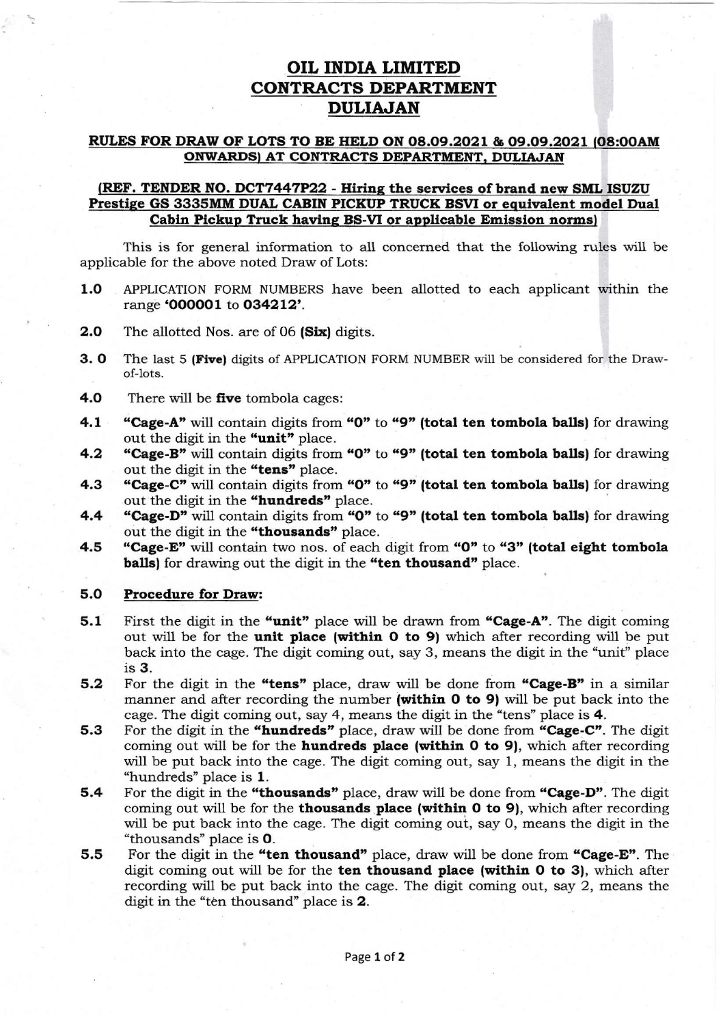## OIL INDIA LIMITED **CONTRACTS DEPARTMENT** DULIAJAN

## RULES FOR DRAW OF LOTS TO BE HELD ON 08.09.2021 & 09.09.2021 (08:00AM ONWARDS) AT CONTRACTS DEPARTMENT. DULIAJAN

## (REF. TENDER NO. DCT7447P22 - Hiring the services of brand new SML ISUZU Prestige GS 3335MM DUAL CABIN PICKUP TRUCK BSVI or equivalent model Dual Cabin Pickup Truck having BS-VI or applicable Emission norms)

This is for general information to all concerned that the following rules will be applicable for the above noted Draw of Lots:

- 1.O APPLICATIoN FoRM NUMBERS have been allotted to each applicant within the range 'OOOOOI to 034212'.
- 2.0 The allotted Nos. are of 06 (Six) digits.
- **3. O** The last 5 (Five) digits of APPLICATION FORM NUMBER will be considered for the Drawof-1ots.
- **4.0** There will be **five** tombola cages:
- **4.1** "Cage-A" will contain digits from "0" to "9" (total ten tombola balls) for drawing out the digit in the "unit" place.
- 4.2 "Cage-B" will contain digits from "0" to "9" (total ten tombola balls) for drawing out the digit in the "tens" place.
- 4.3 "Cage-C" will contain digits from "0" to "9" (total ten tombola balls) for drawing out the digit in the "hundreds" place.
- 4.4 "Cage-D" will contain digits from "0" to "9" (total ten tombola balls) for drawing out the digit in the "thousands" place.
- 4.5 "Cage-E" will contain two nos. of each digit from "0" to "3" (total eight tombola balls) for drawing out the digit in the "ten thousand" place.

## 5.0 Procedure for Draw:

- 5.1 First the digit in the "unit" place will be drawn from "Cage-A". The digit coming out will be for the unit place (within 0 to 9) which after recording will be put back into the cage. The digit coming out, say 3, means the digit in the "unit" place is 3.
- 5.2 For the digit in the "tens" place, draw will be done from "Cage-B" in a similar manner and after recording the number (within 0 to 9) will be put back into the cage. The digit coming out, say 4, means the digit in the "tens" place is  $4$ .
- 5.3 For the digit in the "hundreds" place, draw will be done from "Cage-C". The digit coming out will be for the hundreds place (within 0 to 9), which after recording will be put back into the cage. The digit coming out, say 1, means the digit in the "hundreds" place is 1.
- 5.4 For the digit in the "thousands" place, draw will be done from "Cage-D". The digit coming out will be for the thousands place (within  $0$  to 9), which after recording will be put back into the cage. The digit coming out, say O, means the digit in the "thousands" place is O.
- 5.5 For the digit in the "ten thousand" place, draw will be done from "Cage-E". The digit coming out will be for the ten thousand place (within  $0$  to 3), which after recording will be put back into the cage. The digit coming out, say 2, means the digit in the "ten thousand" place is 2.